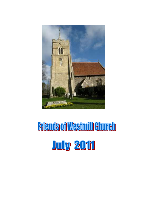

# **Friends of Westmill Church July 2011**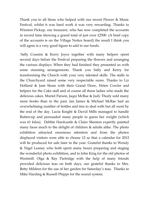Thank you to all those who helped with our recent Flower & Music Festival, whilst it was hard work it was very rewarding. Thanks to Winston Pickup, our treasurer, who has now completed the accounts in record time showing a grand total of just over £2500. (A brief copy of the accounts is on the Village Notice board) the result I think you will agree is a very good figure to add to our funds.

Sally Cousins & Kerry Joyce together with many helpers spent several days before the Festival preparing the flowers and arranging the various displays. When they had finished they presented us with some stunning arrangements. Thank you Sally and Kerry for transforming the Church with your very talented skills. The stalls in the Churchyard raised some very respectable sums. Thanks to Liz Holland & Jane Sloan with their Grand Draw, Helen Cowler and helpers for the Cake stall and of course all those ladies who made the delicious cakes. Muriel Parson, Jaqui McRae & Judy Thody sold many more books than in the past. Jan James & Michael McRae had an overwhelming number of bottles and tins to deal with but all went by the end of the day. Lucia Knight & David Mills managed to handle Buttercup and persuaded many people to guess her weight (which was 61 kilos). Debbie Hardcastle & Claire Shenton expertly painted many faces much to the delight of children & adults alike. The photo exhibition attracted enormous attention and from the photos displayed visitors were able to choose 12 so that a calendar for 2012 will be produced for sale later in the year. Grateful thanks to Wendy & Nigel Leaney who both spent many hours preparing and staging the wonderful photo exhibition, and to John King for the old photos of Westmill. Olga & Ray Partridge with the help of many friends provided delicious teas on both days, our grateful thanks to Mrs. Betty Mildren for the use of her garden for Saturday's teas. Thanks to Mike Harding & Russell Phipps for the sound system.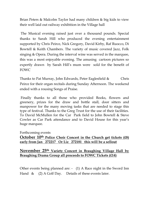Brian Peters & Malcolm Taylor had many children & big kids to view their well laid out railway exhibition in the Village hall

The Musical evening raised just over a thousand pounds. Special thanks to Sarah Hill who produced the evening entertainment supported by Chris Peirce, Nick Gregory, David Kirby, Raf Ruocco, Di Bowtell & Keith Chambers. The variety of music covered Jazz, Folk singing & Opera. During the interval wine was served in the marquee, this was a most enjoyable evening. The amusing cartoon pictures so expertly drawn by Sarah Hill's mum were sold for the benefit of FOWC

Thanks to Pat Murray, John Edwards, Peter Eaglesfield & Chris Peirce for their organ recitals during Sunday Afternoon. The weekend ended with a rousing Songs of Praise.

Finally thanks to all those who provided Books, flowers and greenery, prizes for the draw and bottle stall, door sitters and manpower for the many moving tasks that are needed to stage this type of festival. Thanks to the Greg Trust for the use of their facilities. To David McMullen for the Car Park field to John Bowtell & Steve Cowler as Car Park attendance and to David House for this year's huge marquee.

#### Forthcoming events

## **October 10th Police Choir Concert in the Church get tickets (£8) early from Jan 272217 Or Liz 272181 this will be a sellout**

### **November 25th Variety Concert in Braughing Village Hall by Braughing Drama Group all proceeds to FOWC Tickets (£14)**

Other events being planned are: - (1) A Race night in the Sword Inn Hand & (2) A Golf Day. Details of these events later.